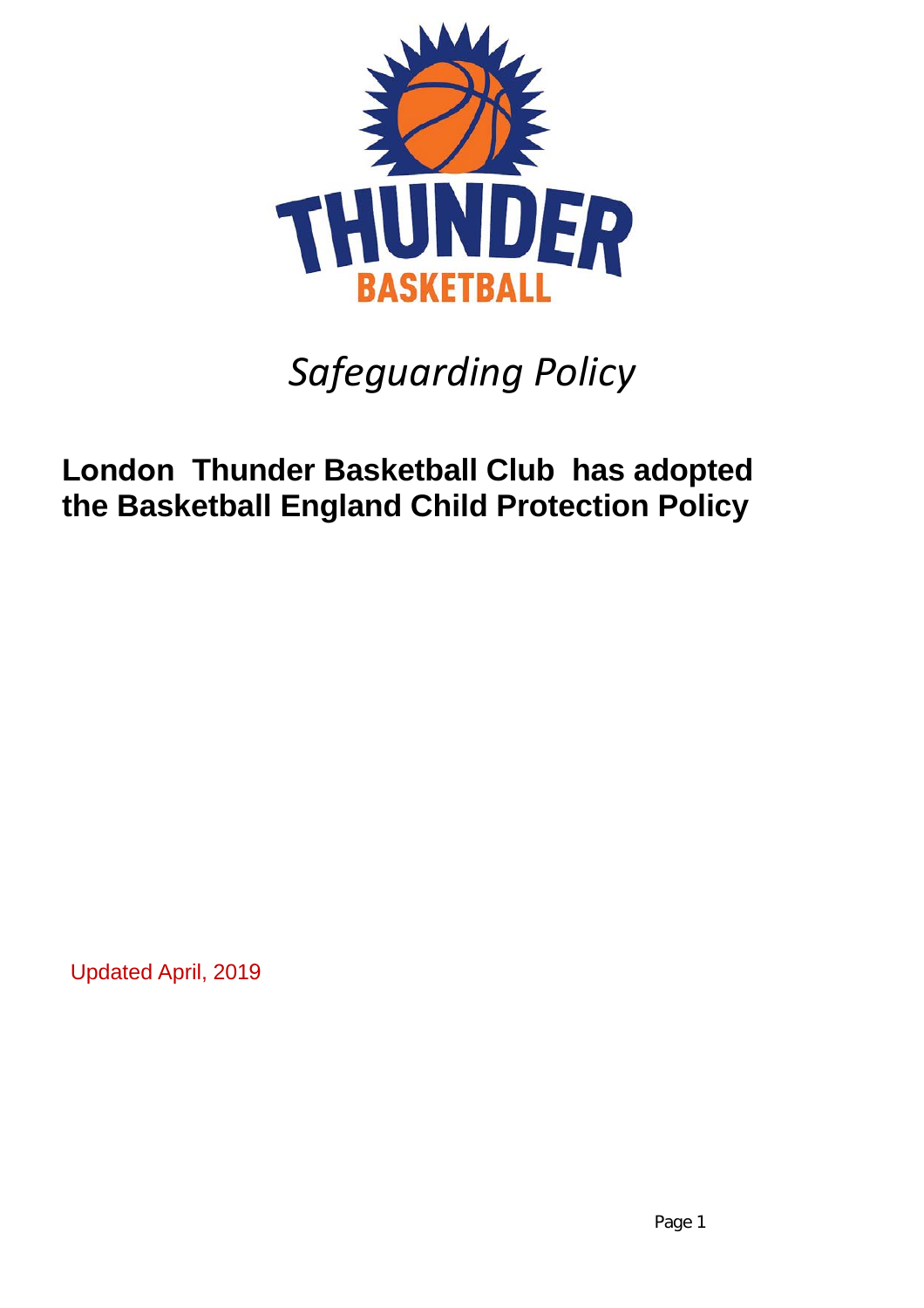

# *Safeguarding Policy*

# **London Thunder Basketball Club has adopted the Basketball England Child Protection Policy**

Updated April, 2019

Page 1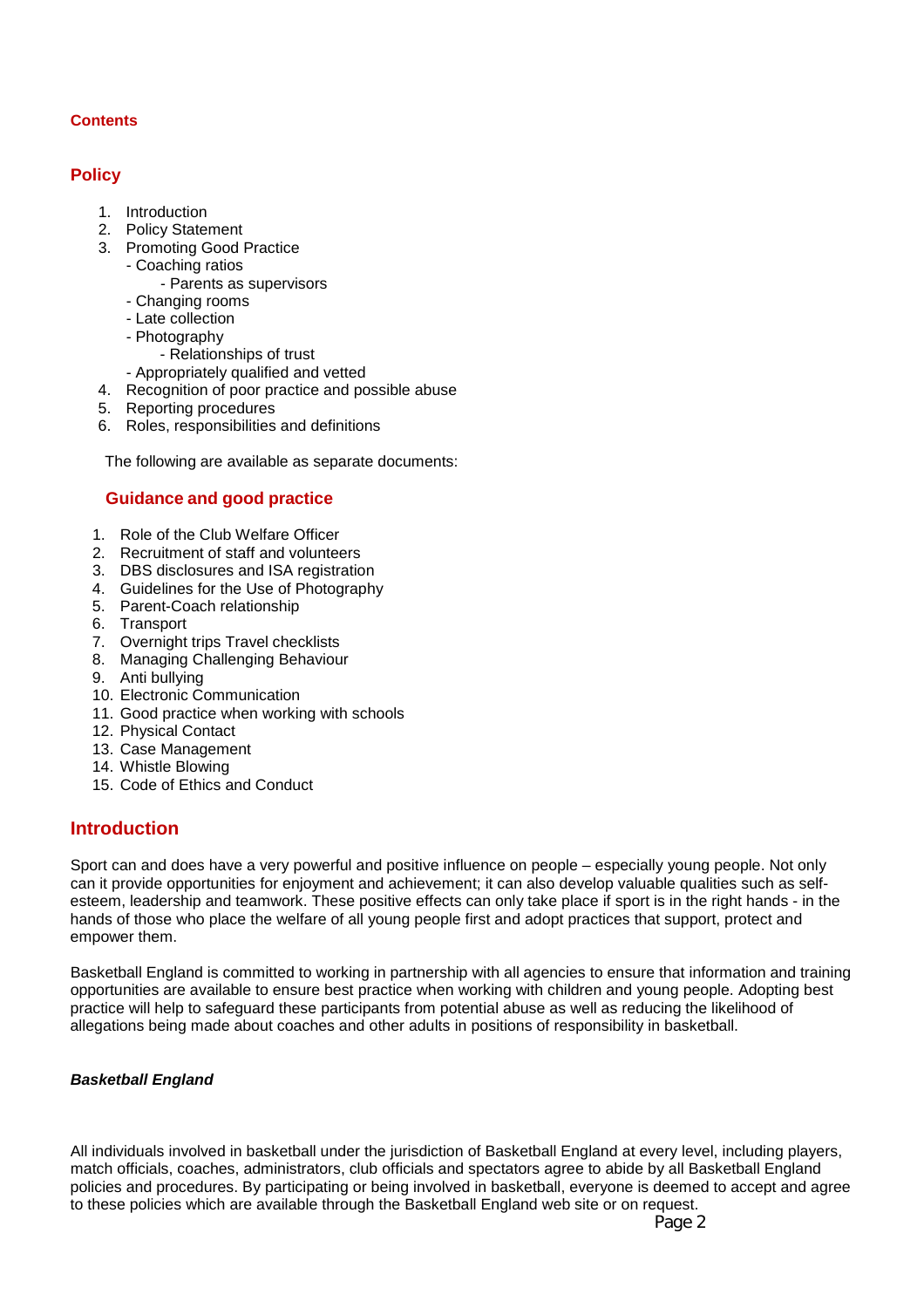#### **Contents**

# **Policy**

- 1. Introduction
- 2. Policy Statement
- 3. Promoting Good Practice
	- Coaching ratios
		- Parents as supervisors
	- Changing rooms
	- Late collection
	- Photography
		- Relationships of trust
	- Appropriately qualified and vetted
- 4. Recognition of poor practice and possible abuse
- 5. Reporting procedures
- 6. Roles, responsibilities and definitions

The following are available as separate documents:

# **Guidance and good practice**

- 1. Role of the Club Welfare Officer
- 2. Recruitment of staff and volunteers
- 3. DBS disclosures and ISA registration
- 4. Guidelines for the Use of Photography
- 5. Parent-Coach relationship
- 6. Transport
- 7. Overnight trips Travel checklists
- 8. Managing Challenging Behaviour
- 9. Anti bullying
- 10. Electronic Communication
- 11. Good practice when working with schools
- 12. Physical Contact
- 13. Case Management
- 14. Whistle Blowing
- 15. Code of Ethics and Conduct

# **Introduction**

Sport can and does have a very powerful and positive influence on people – especially young people. Not only can it provide opportunities for enjoyment and achievement; it can also develop valuable qualities such as selfesteem, leadership and teamwork. These positive effects can only take place if sport is in the right hands - in the hands of those who place the welfare of all young people first and adopt practices that support, protect and empower them.

Basketball England is committed to working in partnership with all agencies to ensure that information and training opportunities are available to ensure best practice when working with children and young people. Adopting best practice will help to safeguard these participants from potential abuse as well as reducing the likelihood of allegations being made about coaches and other adults in positions of responsibility in basketball.

# *Basketball England*

All individuals involved in basketball under the jurisdiction of Basketball England at every level, including players, match officials, coaches, administrators, club officials and spectators agree to abide by all Basketball England policies and procedures. By participating or being involved in basketball, everyone is deemed to accept and agree to these policies which are available through the Basketball England web site or on request.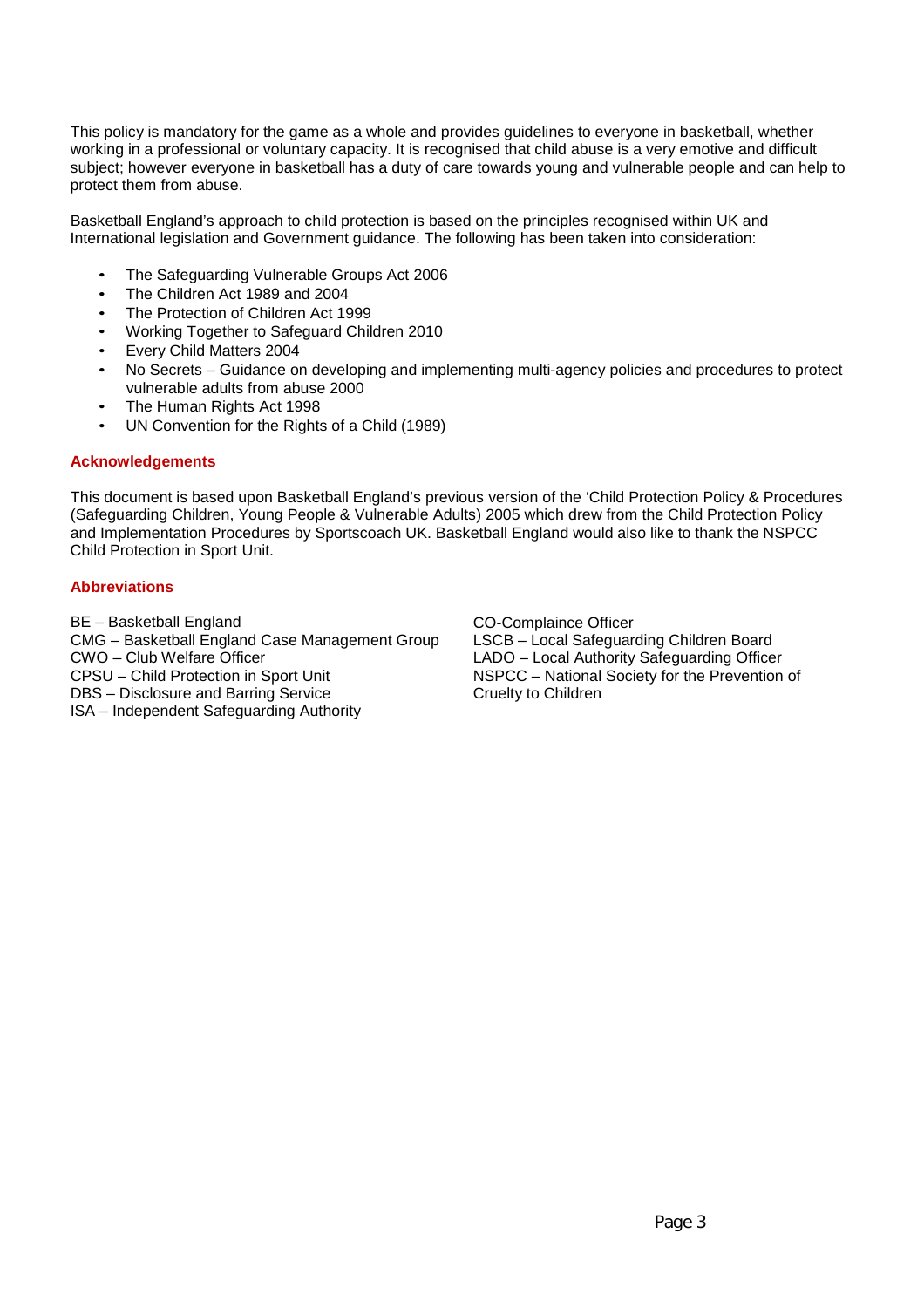This policy is mandatory for the game as a whole and provides guidelines to everyone in basketball, whether working in a professional or voluntary capacity. It is recognised that child abuse is a very emotive and difficult subject; however everyone in basketball has a duty of care towards young and vulnerable people and can help to protect them from abuse.

Basketball England's approach to child protection is based on the principles recognised within UK and International legislation and Government guidance. The following has been taken into consideration:

- The Safeguarding Vulnerable Groups Act 2006
- The Children Act 1989 and 2004
- The Protection of Children Act 1999
- Working Together to Safeguard Children 2010
- Every Child Matters 2004
- No Secrets Guidance on developing and implementing multi-agency policies and procedures to protect vulnerable adults from abuse 2000
- The Human Rights Act 1998
- UN Convention for the Rights of a Child (1989)

#### **Acknowledgements**

This document is based upon Basketball England's previous version of the 'Child Protection Policy & Procedures (Safeguarding Children, Young People & Vulnerable Adults) 2005 which drew from the Child Protection Policy and Implementation Procedures by Sportscoach UK. Basketball England would also like to thank the NSPCC Child Protection in Sport Unit.

#### **Abbreviations**

BE – Basketball England CMG – Basketball England Case Management Group CWO – Club Welfare Officer CPSU – Child Protection in Sport Unit DBS – Disclosure and Barring Service ISA – Independent Safeguarding Authority

CO-Complaince Officer LSCB – Local Safeguarding Children Board LADO – Local Authority Safeguarding Officer NSPCC – National Society for the Prevention of Cruelty to Children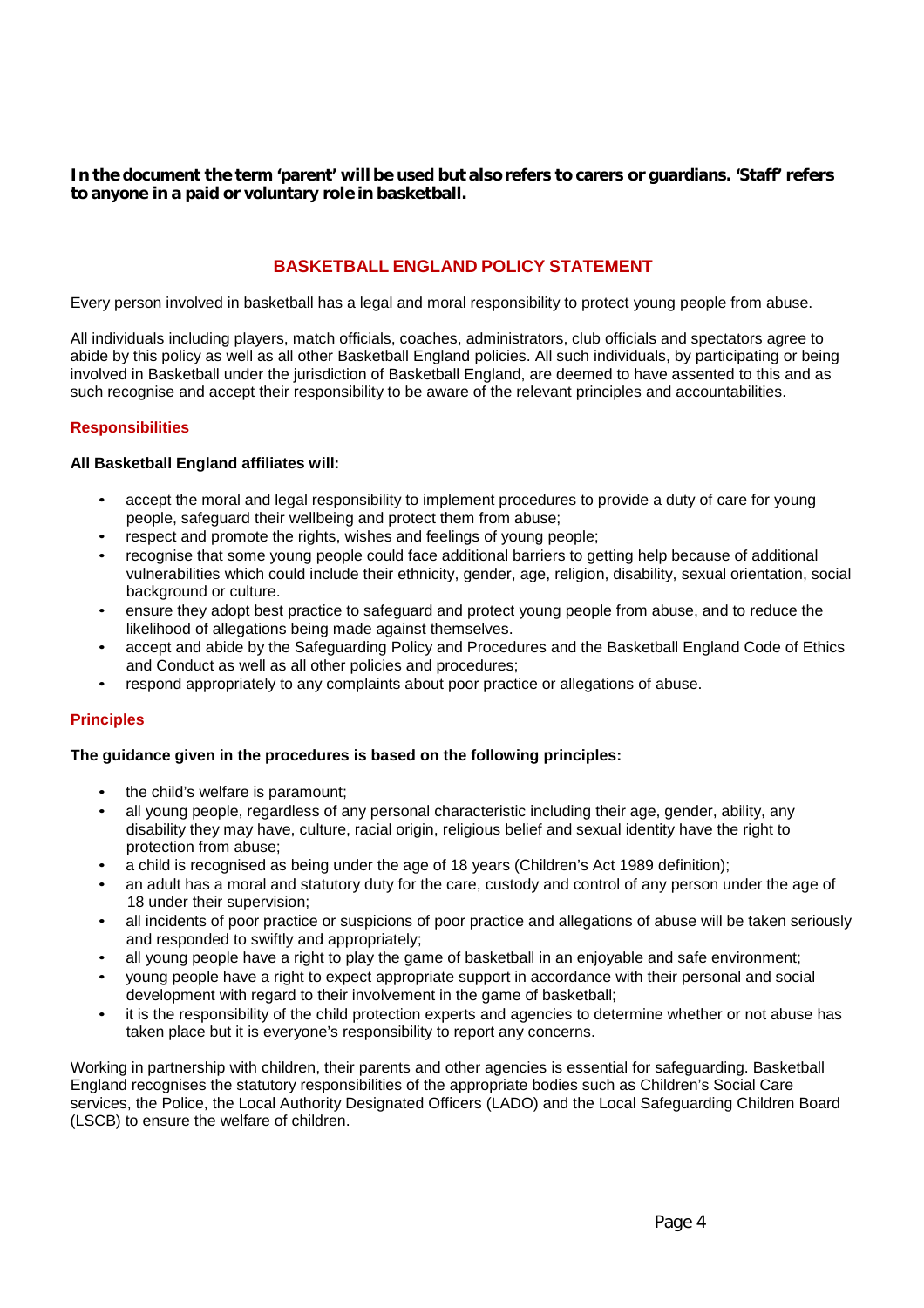**In the document the term 'parent' will be used but also refers to carers or guardians. 'Staff' refers to anyone in a paid or voluntary role in basketball.**

# **BASKETBALL ENGLAND POLICY STATEMENT**

Every person involved in basketball has a legal and moral responsibility to protect young people from abuse.

All individuals including players, match officials, coaches, administrators, club officials and spectators agree to abide by this policy as well as all other Basketball England policies. All such individuals, by participating or being involved in Basketball under the jurisdiction of Basketball England, are deemed to have assented to this and as such recognise and accept their responsibility to be aware of the relevant principles and accountabilities.

#### **Responsibilities**

#### **All Basketball England affiliates will:**

- accept the moral and legal responsibility to implement procedures to provide a duty of care for young people, safeguard their wellbeing and protect them from abuse;
- respect and promote the rights, wishes and feelings of young people;
- recognise that some young people could face additional barriers to getting help because of additional vulnerabilities which could include their ethnicity, gender, age, religion, disability, sexual orientation, social background or culture.
- ensure they adopt best practice to safeguard and protect young people from abuse, and to reduce the likelihood of allegations being made against themselves.
- accept and abide by the Safeguarding Policy and Procedures and the Basketball England Code of Ethics and Conduct as well as all other policies and procedures;
- respond appropriately to any complaints about poor practice or allegations of abuse.

#### **Principles**

#### **The guidance given in the procedures is based on the following principles:**

- the child's welfare is paramount;
- all young people, regardless of any personal characteristic including their age, gender, ability, any disability they may have, culture, racial origin, religious belief and sexual identity have the right to protection from abuse;
- a child is recognised as being under the age of 18 years (Children's Act 1989 definition);
- an adult has a moral and statutory duty for the care, custody and control of any person under the age of 18 under their supervision;
- all incidents of poor practice or suspicions of poor practice and allegations of abuse will be taken seriously and responded to swiftly and appropriately;
- all young people have a right to play the game of basketball in an enjoyable and safe environment;
- young people have a right to expect appropriate support in accordance with their personal and social development with regard to their involvement in the game of basketball;
- it is the responsibility of the child protection experts and agencies to determine whether or not abuse has taken place but it is everyone's responsibility to report any concerns.

Working in partnership with children, their parents and other agencies is essential for safeguarding. Basketball England recognises the statutory responsibilities of the appropriate bodies such as Children's Social Care services, the Police, the Local Authority Designated Officers (LADO) and the Local Safeguarding Children Board (LSCB) to ensure the welfare of children.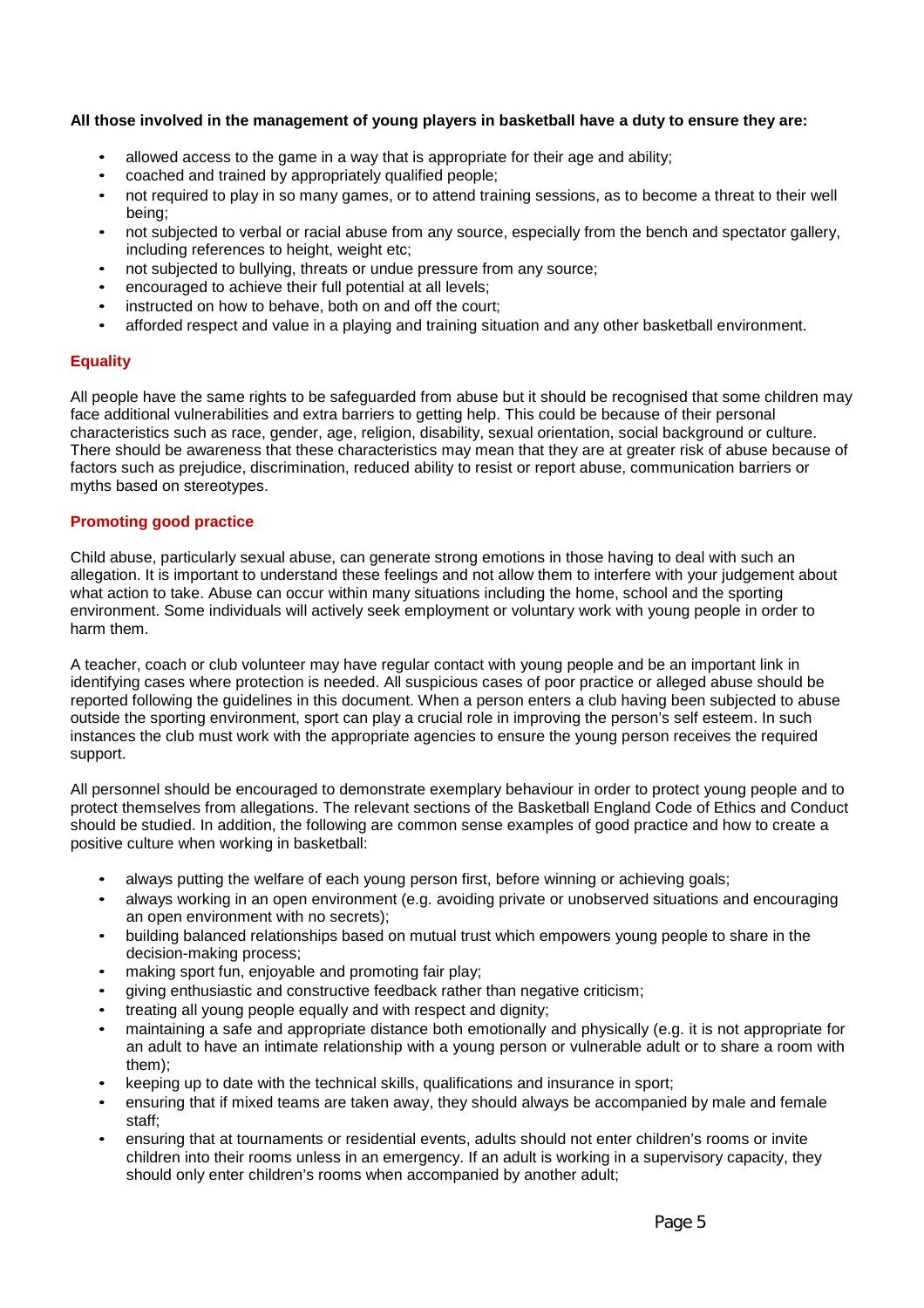#### **All those involved in the management of young players in basketball have a duty to ensure they are:**

- allowed access to the game in a way that is appropriate for their age and ability;
- coached and trained by appropriately qualified people;
- not required to play in so many games, or to attend training sessions, as to become a threat to their well being;
- not subjected to verbal or racial abuse from any source, especially from the bench and spectator gallery, including references to height, weight etc;
- not subjected to bullying, threats or undue pressure from any source;
- encouraged to achieve their full potential at all levels;
- instructed on how to behave, both on and off the court;
- afforded respect and value in a playing and training situation and any other basketball environment.

#### **Equality**

All people have the same rights to be safeguarded from abuse but it should be recognised that some children may face additional vulnerabilities and extra barriers to getting help. This could be because of their personal characteristics such as race, gender, age, religion, disability, sexual orientation, social background or culture. There should be awareness that these characteristics may mean that they are at greater risk of abuse because of factors such as prejudice, discrimination, reduced ability to resist or report abuse, communication barriers or myths based on stereotypes.

#### **Promoting good practice**

Child abuse, particularly sexual abuse, can generate strong emotions in those having to deal with such an allegation. It is important to understand these feelings and not allow them to interfere with your judgement about what action to take. Abuse can occur within many situations including the home, school and the sporting environment. Some individuals will actively seek employment or voluntary work with young people in order to harm them.

A teacher, coach or club volunteer may have regular contact with young people and be an important link in identifying cases where protection is needed. All suspicious cases of poor practice or alleged abuse should be reported following the guidelines in this document. When a person enters a club having been subjected to abuse outside the sporting environment, sport can play a crucial role in improving the person's self esteem. In such instances the club must work with the appropriate agencies to ensure the young person receives the required support.

All personnel should be encouraged to demonstrate exemplary behaviour in order to protect young people and to protect themselves from allegations. The relevant sections of the Basketball England Code of Ethics and Conduct should be studied. In addition, the following are common sense examples of good practice and how to create a positive culture when working in basketball:

- always putting the welfare of each young person first, before winning or achieving goals;
- always working in an open environment (e.g. avoiding private or unobserved situations and encouraging an open environment with no secrets);
- building balanced relationships based on mutual trust which empowers young people to share in the decision-making process;
- making sport fun, enjoyable and promoting fair play;
- giving enthusiastic and constructive feedback rather than negative criticism;
- treating all young people equally and with respect and dignity;
- maintaining a safe and appropriate distance both emotionally and physically (e.g. it is not appropriate for an adult to have an intimate relationship with a young person or vulnerable adult or to share a room with them);
- keeping up to date with the technical skills, qualifications and insurance in sport;
- ensuring that if mixed teams are taken away, they should always be accompanied by male and female staff;
- ensuring that at tournaments or residential events, adults should not enter children's rooms or invite children into their rooms unless in an emergency. If an adult is working in a supervisory capacity, they should only enter children's rooms when accompanied by another adult;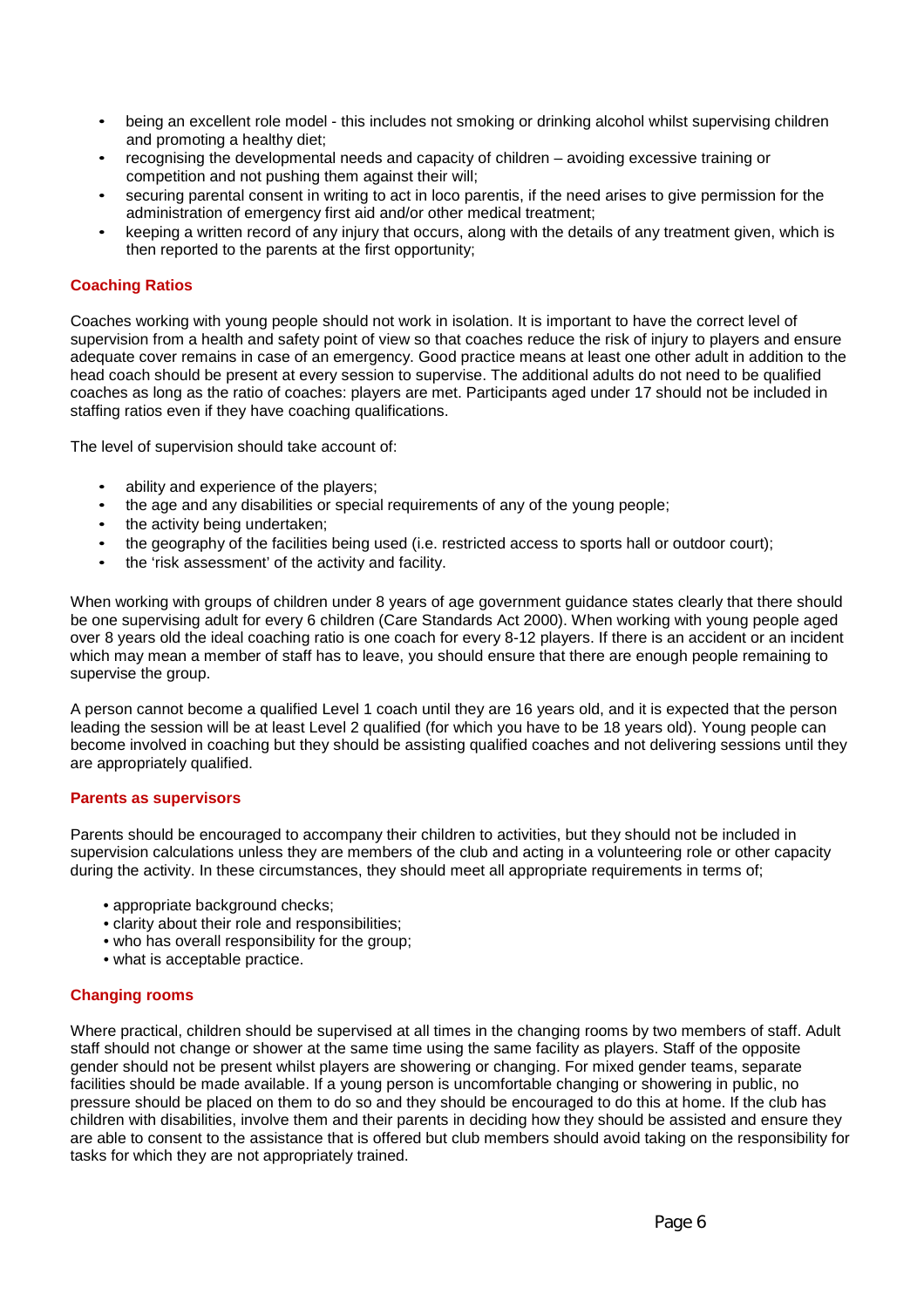- being an excellent role model this includes not smoking or drinking alcohol whilst supervising children and promoting a healthy diet;
- recognising the developmental needs and capacity of children avoiding excessive training or competition and not pushing them against their will;
- securing parental consent in writing to act in loco parentis, if the need arises to give permission for the administration of emergency first aid and/or other medical treatment;
- keeping a written record of any injury that occurs, along with the details of any treatment given, which is then reported to the parents at the first opportunity;

#### **Coaching Ratios**

Coaches working with young people should not work in isolation. It is important to have the correct level of supervision from a health and safety point of view so that coaches reduce the risk of injury to players and ensure adequate cover remains in case of an emergency. Good practice means at least one other adult in addition to the head coach should be present at every session to supervise. The additional adults do not need to be qualified coaches as long as the ratio of coaches: players are met. Participants aged under 17 should not be included in staffing ratios even if they have coaching qualifications.

The level of supervision should take account of:

- ability and experience of the players;
- the age and any disabilities or special requirements of any of the young people;
- the activity being undertaken:
- the geography of the facilities being used (i.e. restricted access to sports hall or outdoor court);
- the 'risk assessment' of the activity and facility.

When working with groups of children under 8 years of age government guidance states clearly that there should be one supervising adult for every 6 children (Care Standards Act 2000). When working with young people aged over 8 years old the ideal coaching ratio is one coach for every 8-12 players. If there is an accident or an incident which may mean a member of staff has to leave, you should ensure that there are enough people remaining to supervise the group.

A person cannot become a qualified Level 1 coach until they are 16 years old, and it is expected that the person leading the session will be at least Level 2 qualified (for which you have to be 18 years old). Young people can become involved in coaching but they should be assisting qualified coaches and not delivering sessions until they are appropriately qualified.

#### **Parents as supervisors**

Parents should be encouraged to accompany their children to activities, but they should not be included in supervision calculations unless they are members of the club and acting in a volunteering role or other capacity during the activity. In these circumstances, they should meet all appropriate requirements in terms of;

- appropriate background checks;
- clarity about their role and responsibilities;
- who has overall responsibility for the group;
- what is acceptable practice.

#### **Changing rooms**

Where practical, children should be supervised at all times in the changing rooms by two members of staff. Adult staff should not change or shower at the same time using the same facility as players. Staff of the opposite gender should not be present whilst players are showering or changing. For mixed gender teams, separate facilities should be made available. If a young person is uncomfortable changing or showering in public, no pressure should be placed on them to do so and they should be encouraged to do this at home. If the club has children with disabilities, involve them and their parents in deciding how they should be assisted and ensure they are able to consent to the assistance that is offered but club members should avoid taking on the responsibility for tasks for which they are not appropriately trained.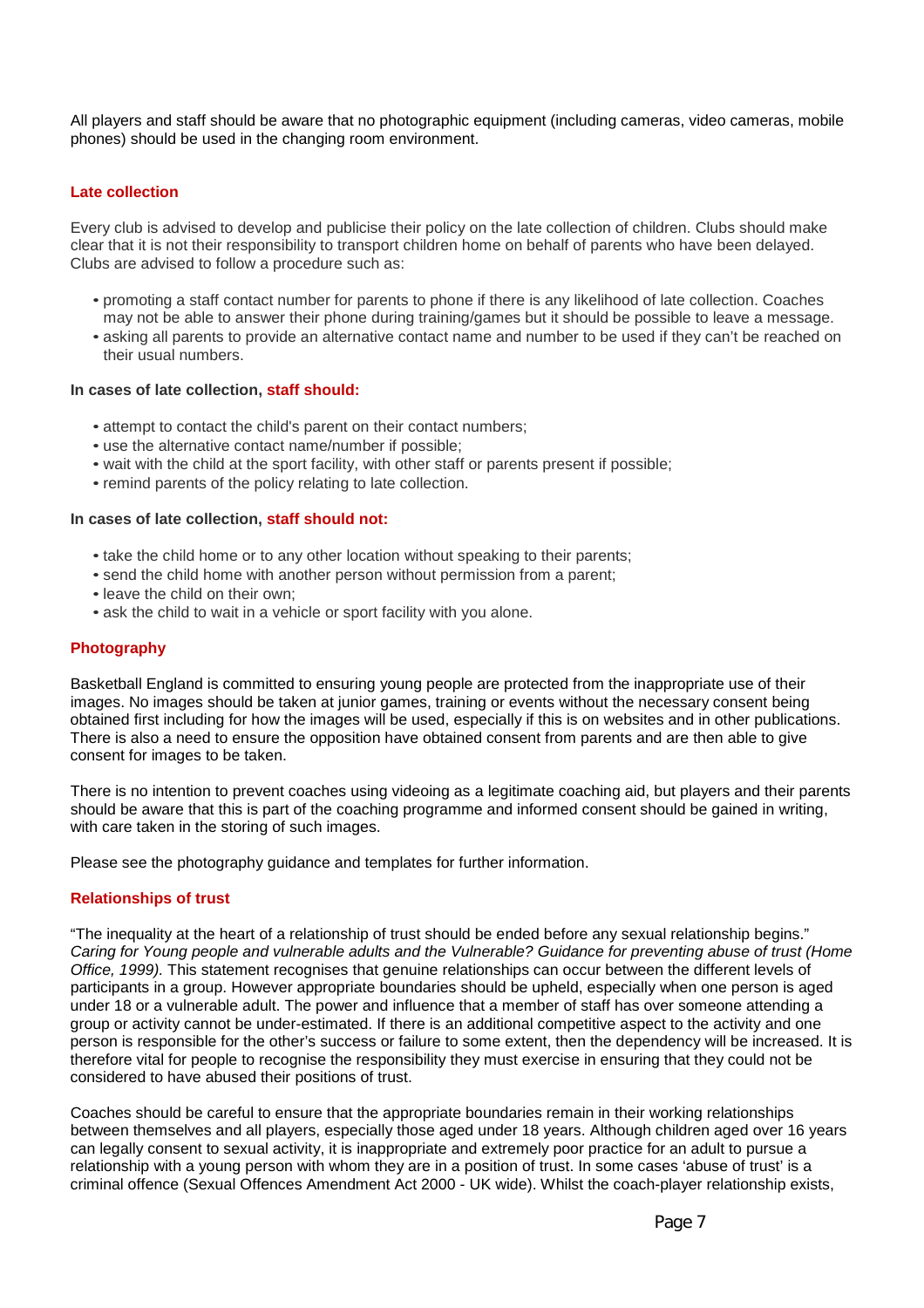All players and staff should be aware that no photographic equipment (including cameras, video cameras, mobile phones) should be used in the changing room environment.

#### **Late collection**

Every club is advised to develop and publicise their policy on the late collection of children. Clubs should make clear that it is not their responsibility to transport children home on behalf of parents who have been delayed. Clubs are advised to follow a procedure such as:

- promoting a staff contact number for parents to phone if there is any likelihood of late collection. Coaches may not be able to answer their phone during training/games but it should be possible to leave a message.
- asking all parents to provide an alternative contact name and number to be used if they can't be reached on their usual numbers.

#### **In cases of late collection, staff should:**

- attempt to contact the child's parent on their contact numbers;
- use the alternative contact name/number if possible;
- wait with the child at the sport facility, with other staff or parents present if possible;
- remind parents of the policy relating to late collection.

#### **In cases of late collection, staff should not:**

- take the child home or to any other location without speaking to their parents;
- send the child home with another person without permission from a parent;
- leave the child on their own;
- ask the child to wait in a vehicle or sport facility with you alone.

#### **Photography**

Basketball England is committed to ensuring young people are protected from the inappropriate use of their images. No images should be taken at junior games, training or events without the necessary consent being obtained first including for how the images will be used, especially if this is on websites and in other publications. There is also a need to ensure the opposition have obtained consent from parents and are then able to give consent for images to be taken.

There is no intention to prevent coaches using videoing as a legitimate coaching aid, but players and their parents should be aware that this is part of the coaching programme and informed consent should be gained in writing, with care taken in the storing of such images.

Please see the photography guidance and templates for further information.

#### **Relationships of trust**

"The inequality at the heart of a relationship of trust should be ended before any sexual relationship begins." *Caring for Young people and vulnerable adults and the Vulnerable? Guidance for preventing abuse of trust (Home Office, 1999).* This statement recognises that genuine relationships can occur between the different levels of participants in a group. However appropriate boundaries should be upheld, especially when one person is aged under 18 or a vulnerable adult. The power and influence that a member of staff has over someone attending a group or activity cannot be under-estimated. If there is an additional competitive aspect to the activity and one person is responsible for the other's success or failure to some extent, then the dependency will be increased. It is therefore vital for people to recognise the responsibility they must exercise in ensuring that they could not be considered to have abused their positions of trust.

Coaches should be careful to ensure that the appropriate boundaries remain in their working relationships between themselves and all players, especially those aged under 18 years. Although children aged over 16 years can legally consent to sexual activity, it is inappropriate and extremely poor practice for an adult to pursue a relationship with a young person with whom they are in a position of trust. In some cases 'abuse of trust' is a criminal offence (Sexual Offences Amendment Act 2000 - UK wide). Whilst the coach-player relationship exists,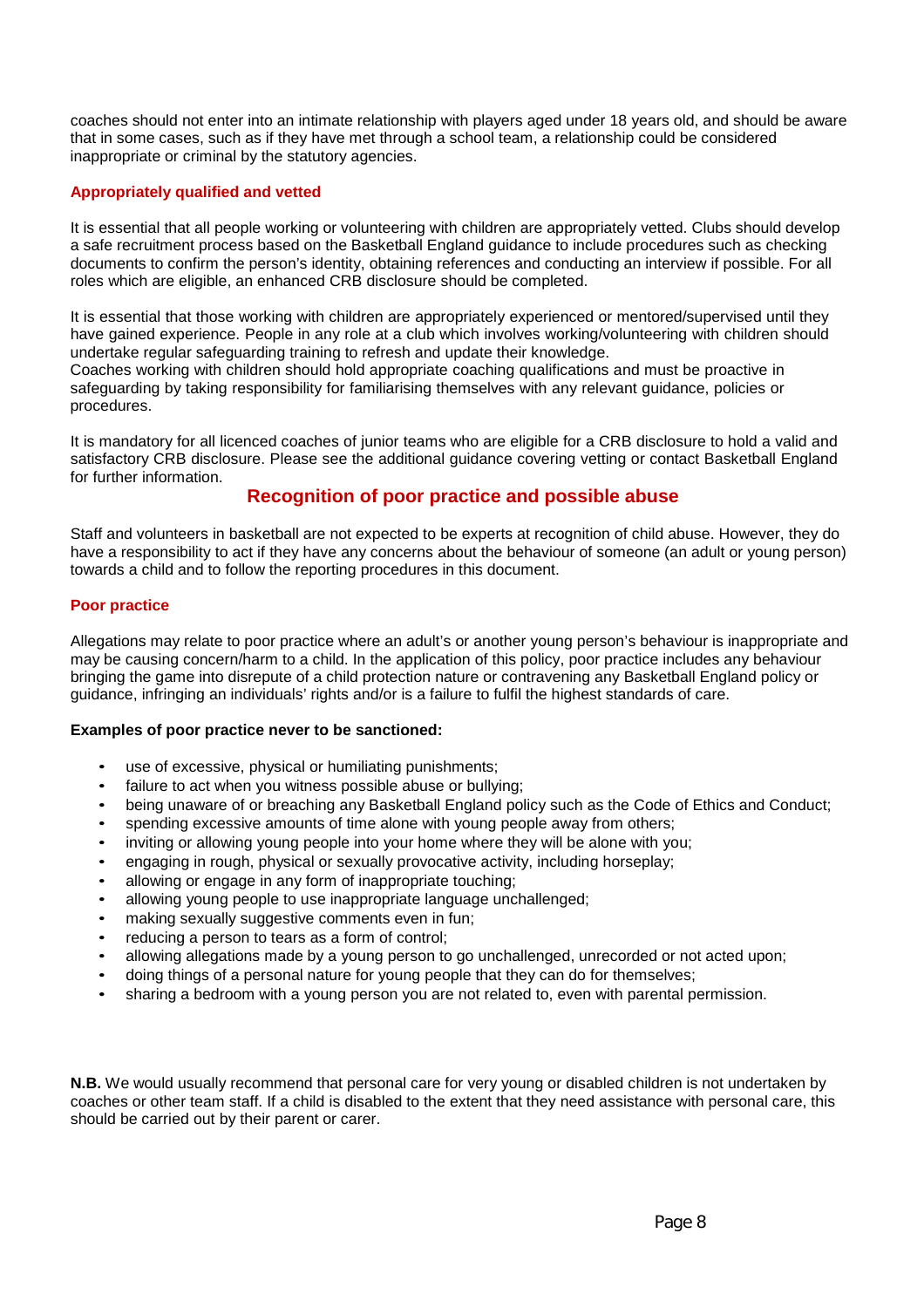coaches should not enter into an intimate relationship with players aged under 18 years old, and should be aware that in some cases, such as if they have met through a school team, a relationship could be considered inappropriate or criminal by the statutory agencies.

#### **Appropriately qualified and vetted**

It is essential that all people working or volunteering with children are appropriately vetted. Clubs should develop a safe recruitment process based on the Basketball England guidance to include procedures such as checking documents to confirm the person's identity, obtaining references and conducting an interview if possible. For all roles which are eligible, an enhanced CRB disclosure should be completed.

It is essential that those working with children are appropriately experienced or mentored/supervised until they have gained experience. People in any role at a club which involves working/volunteering with children should undertake regular safeguarding training to refresh and update their knowledge.

Coaches working with children should hold appropriate coaching qualifications and must be proactive in safeguarding by taking responsibility for familiarising themselves with any relevant guidance, policies or procedures.

It is mandatory for all licenced coaches of junior teams who are eligible for a CRB disclosure to hold a valid and satisfactory CRB disclosure. Please see the additional guidance covering vetting or contact Basketball England for further information.

# **Recognition of poor practice and possible abuse**

Staff and volunteers in basketball are not expected to be experts at recognition of child abuse. However, they do have a responsibility to act if they have any concerns about the behaviour of someone (an adult or young person) towards a child and to follow the reporting procedures in this document.

#### **Poor practice**

Allegations may relate to poor practice where an adult's or another young person's behaviour is inappropriate and may be causing concern/harm to a child. In the application of this policy, poor practice includes any behaviour bringing the game into disrepute of a child protection nature or contravening any Basketball England policy or guidance, infringing an individuals' rights and/or is a failure to fulfil the highest standards of care.

#### **Examples of poor practice never to be sanctioned:**

- use of excessive, physical or humiliating punishments;
- failure to act when you witness possible abuse or bullying;
- being unaware of or breaching any Basketball England policy such as the Code of Ethics and Conduct;
- spending excessive amounts of time alone with young people away from others;
- inviting or allowing young people into your home where they will be alone with you;
- engaging in rough, physical or sexually provocative activity, including horseplay;
- allowing or engage in any form of inappropriate touching;
- allowing young people to use inappropriate language unchallenged;
- making sexually suggestive comments even in fun;
- reducing a person to tears as a form of control;
- allowing allegations made by a young person to go unchallenged, unrecorded or not acted upon;
- doing things of a personal nature for young people that they can do for themselves;
- sharing a bedroom with a young person you are not related to, even with parental permission.

**N.B.** We would usually recommend that personal care for very young or disabled children is not undertaken by coaches or other team staff. If a child is disabled to the extent that they need assistance with personal care, this should be carried out by their parent or carer.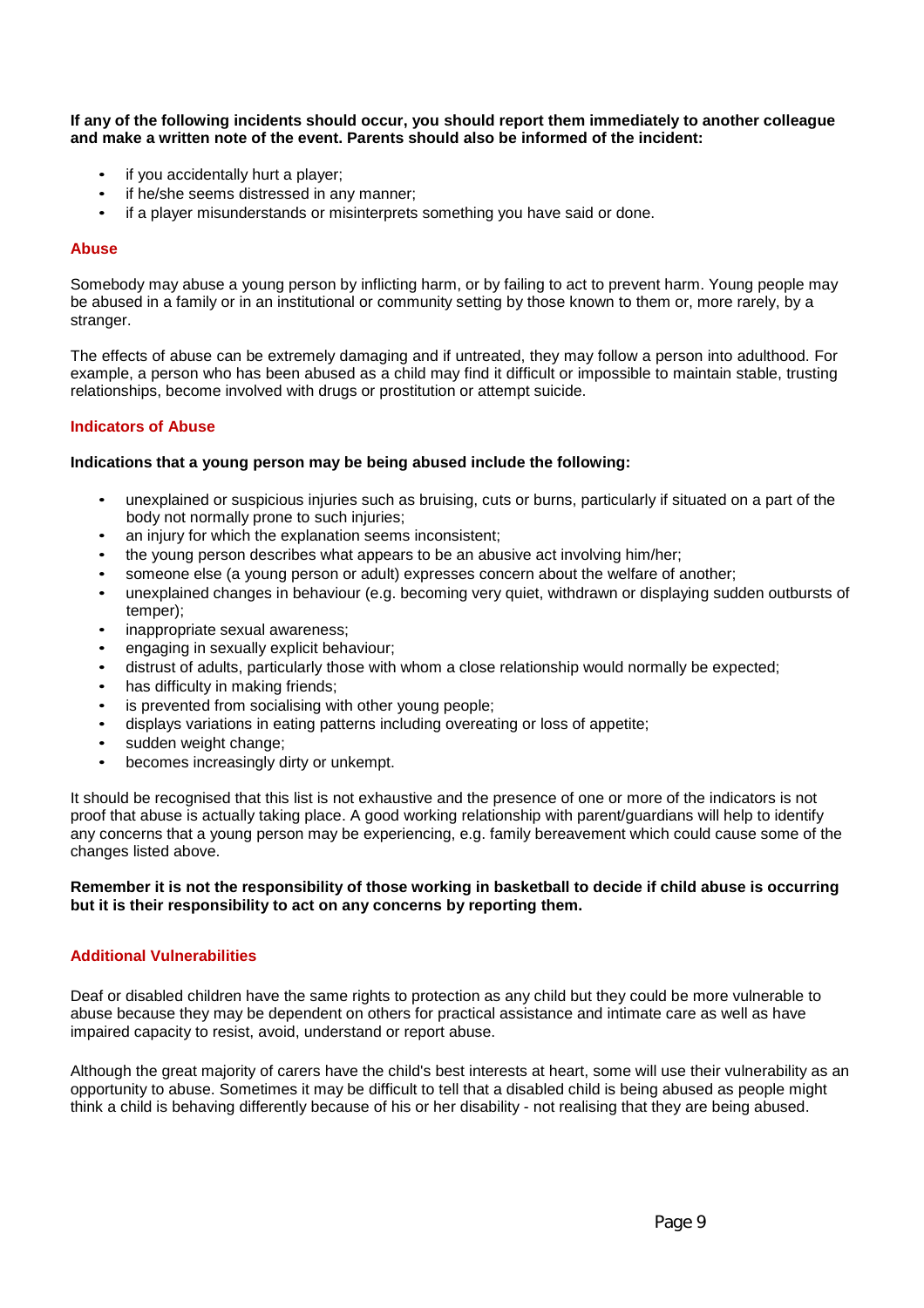**If any of the following incidents should occur, you should report them immediately to another colleague and make a written note of the event. Parents should also be informed of the incident:**

- if you accidentally hurt a player;
- if he/she seems distressed in any manner;
- if a player misunderstands or misinterprets something you have said or done.

#### **Abuse**

Somebody may abuse a young person by inflicting harm, or by failing to act to prevent harm. Young people may be abused in a family or in an institutional or community setting by those known to them or, more rarely, by a stranger.

The effects of abuse can be extremely damaging and if untreated, they may follow a person into adulthood. For example, a person who has been abused as a child may find it difficult or impossible to maintain stable, trusting relationships, become involved with drugs or prostitution or attempt suicide.

#### **Indicators of Abuse**

#### **Indications that a young person may be being abused include the following:**

- unexplained or suspicious injuries such as bruising, cuts or burns, particularly if situated on a part of the body not normally prone to such injuries;
- an injury for which the explanation seems inconsistent;
- the young person describes what appears to be an abusive act involving him/her;
- someone else (a young person or adult) expresses concern about the welfare of another;
- unexplained changes in behaviour (e.g. becoming very quiet, withdrawn or displaying sudden outbursts of temper);
- inappropriate sexual awareness;
- engaging in sexually explicit behaviour;
- distrust of adults, particularly those with whom a close relationship would normally be expected;
- has difficulty in making friends;
- is prevented from socialising with other young people;
- displays variations in eating patterns including overeating or loss of appetite;
- sudden weight change;
- becomes increasingly dirty or unkempt.

It should be recognised that this list is not exhaustive and the presence of one or more of the indicators is not proof that abuse is actually taking place. A good working relationship with parent/guardians will help to identify any concerns that a young person may be experiencing, e.g. family bereavement which could cause some of the changes listed above.

#### **Remember it is not the responsibility of those working in basketball to decide if child abuse is occurring but it is their responsibility to act on any concerns by reporting them.**

#### **Additional Vulnerabilities**

Deaf or disabled children have the same rights to protection as any child but they could be more vulnerable to abuse because they may be dependent on others for practical assistance and intimate care as well as have impaired capacity to resist, avoid, understand or report abuse.

Although the great majority of carers have the child's best interests at heart, some will use their vulnerability as an opportunity to abuse. Sometimes it may be difficult to tell that a disabled child is being abused as people might think a child is behaving differently because of his or her disability - not realising that they are being abused.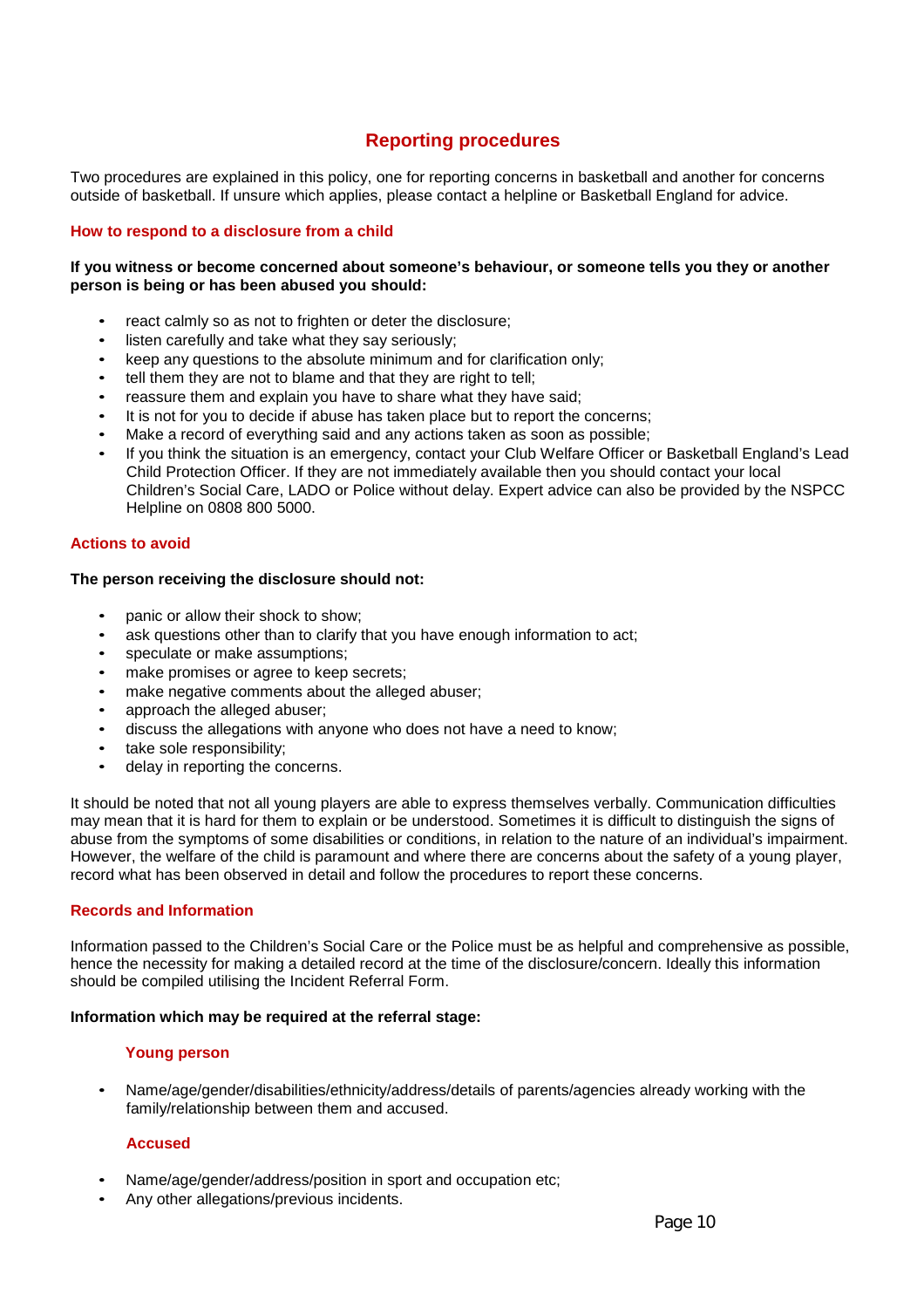# **Reporting procedures**

Two procedures are explained in this policy, one for reporting concerns in basketball and another for concerns outside of basketball. If unsure which applies, please contact a helpline or Basketball England for advice.

#### **How to respond to a disclosure from a child**

#### **If you witness or become concerned about someone's behaviour, or someone tells you they or another person is being or has been abused you should:**

- react calmly so as not to frighten or deter the disclosure;
- listen carefully and take what they say seriously;
- keep any questions to the absolute minimum and for clarification only;
- tell them they are not to blame and that they are right to tell;
- reassure them and explain you have to share what they have said;
- It is not for you to decide if abuse has taken place but to report the concerns;
- Make a record of everything said and any actions taken as soon as possible;
- If you think the situation is an emergency, contact your Club Welfare Officer or Basketball England's Lead Child Protection Officer. If they are not immediately available then you should contact your local Children's Social Care, LADO or Police without delay. Expert advice can also be provided by the NSPCC Helpline on 0808 800 5000.

#### **Actions to avoid**

#### **The person receiving the disclosure should not:**

- panic or allow their shock to show;
- ask questions other than to clarify that you have enough information to act;
- speculate or make assumptions;
- make promises or agree to keep secrets;<br>• make pegative comments about the alleg
- make negative comments about the alleged abuser;
- approach the alleged abuser;
- discuss the allegations with anyone who does not have a need to know;
- take sole responsibility;
- delay in reporting the concerns.

It should be noted that not all young players are able to express themselves verbally. Communication difficulties may mean that it is hard for them to explain or be understood. Sometimes it is difficult to distinguish the signs of abuse from the symptoms of some disabilities or conditions, in relation to the nature of an individual's impairment. However, the welfare of the child is paramount and where there are concerns about the safety of a young player, record what has been observed in detail and follow the procedures to report these concerns.

#### **Records and Information**

Information passed to the Children's Social Care or the Police must be as helpful and comprehensive as possible, hence the necessity for making a detailed record at the time of the disclosure/concern. Ideally this information should be compiled utilising the Incident Referral Form.

#### **Information which may be required at the referral stage:**

#### **Young person**

• Name/age/gender/disabilities/ethnicity/address/details of parents/agencies already working with the family/relationship between them and accused.

#### **Accused**

- Name/age/gender/address/position in sport and occupation etc;
- Any other allegations/previous incidents.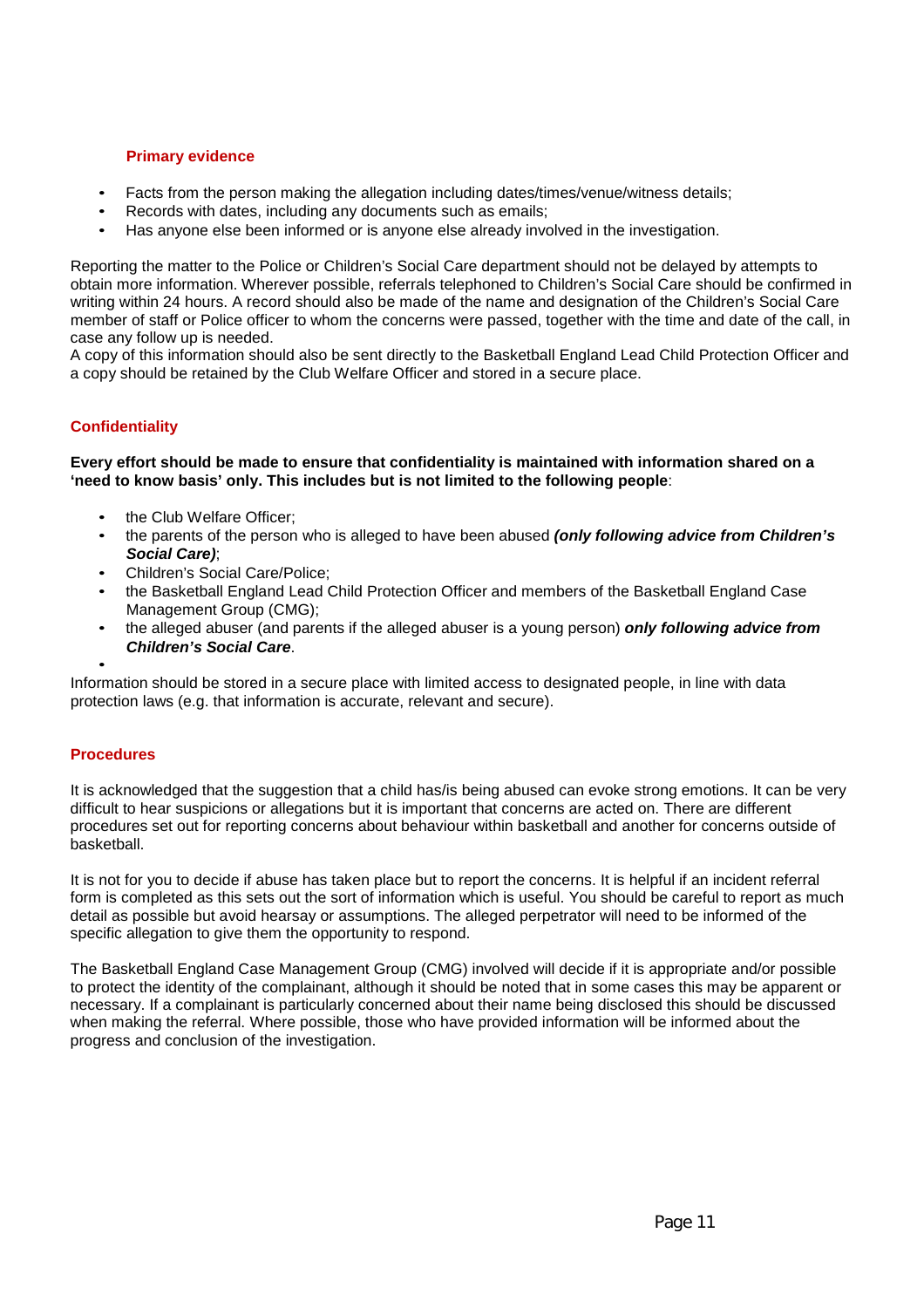#### **Primary evidence**

- Facts from the person making the allegation including dates/times/venue/witness details;
- Records with dates, including any documents such as emails;
- Has anyone else been informed or is anyone else already involved in the investigation.

Reporting the matter to the Police or Children's Social Care department should not be delayed by attempts to obtain more information. Wherever possible, referrals telephoned to Children's Social Care should be confirmed in writing within 24 hours. A record should also be made of the name and designation of the Children's Social Care member of staff or Police officer to whom the concerns were passed, together with the time and date of the call, in case any follow up is needed.

A copy of this information should also be sent directly to the Basketball England Lead Child Protection Officer and a copy should be retained by the Club Welfare Officer and stored in a secure place.

#### **Confidentiality**

**Every effort should be made to ensure that confidentiality is maintained with information shared on a 'need to know basis' only. This includes but is not limited to the following people**:

- the Club Welfare Officer;
- the parents of the person who is alleged to have been abused *(only following advice from Children's Social Care)*;
- Children's Social Care/Police;
- the Basketball England Lead Child Protection Officer and members of the Basketball England Case Management Group (CMG);
- the alleged abuser (and parents if the alleged abuser is a young person) *only following advice from Children's Social Care*.

• Information should be stored in a secure place with limited access to designated people, in line with data protection laws (e.g. that information is accurate, relevant and secure).

#### **Procedures**

It is acknowledged that the suggestion that a child has/is being abused can evoke strong emotions. It can be very difficult to hear suspicions or allegations but it is important that concerns are acted on. There are different procedures set out for reporting concerns about behaviour within basketball and another for concerns outside of basketball.

It is not for you to decide if abuse has taken place but to report the concerns. It is helpful if an incident referral form is completed as this sets out the sort of information which is useful. You should be careful to report as much detail as possible but avoid hearsay or assumptions. The alleged perpetrator will need to be informed of the specific allegation to give them the opportunity to respond.

The Basketball England Case Management Group (CMG) involved will decide if it is appropriate and/or possible to protect the identity of the complainant, although it should be noted that in some cases this may be apparent or necessary. If a complainant is particularly concerned about their name being disclosed this should be discussed when making the referral. Where possible, those who have provided information will be informed about the progress and conclusion of the investigation.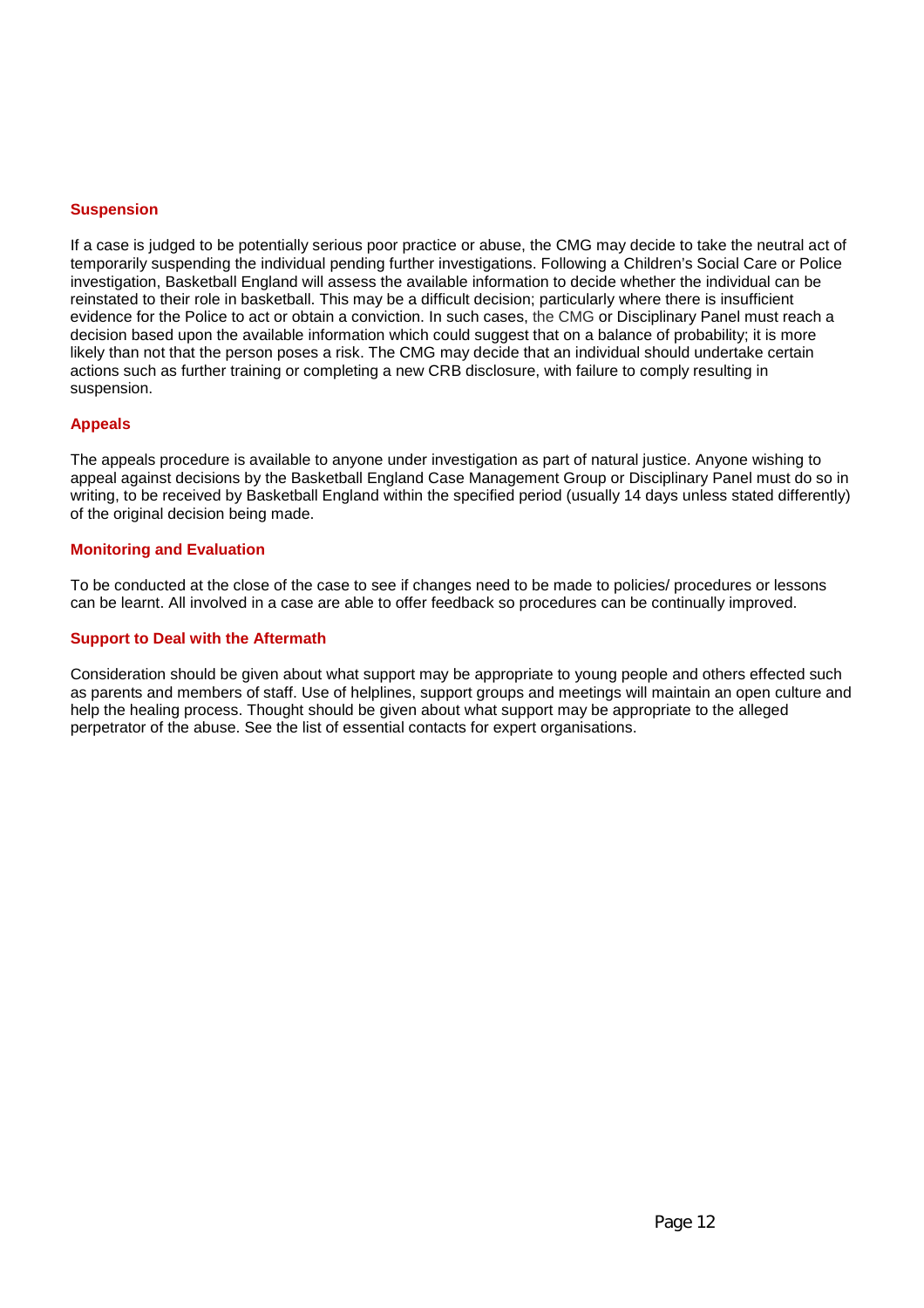#### **Suspension**

If a case is judged to be potentially serious poor practice or abuse, the CMG may decide to take the neutral act of temporarily suspending the individual pending further investigations. Following a Children's Social Care or Police investigation, Basketball England will assess the available information to decide whether the individual can be reinstated to their role in basketball. This may be a difficult decision; particularly where there is insufficient evidence for the Police to act or obtain a conviction. In such cases, the CMG or Disciplinary Panel must reach a decision based upon the available information which could suggest that on a balance of probability; it is more likely than not that the person poses a risk. The CMG may decide that an individual should undertake certain actions such as further training or completing a new CRB disclosure, with failure to comply resulting in suspension.

#### **Appeals**

The appeals procedure is available to anyone under investigation as part of natural justice. Anyone wishing to appeal against decisions by the Basketball England Case Management Group or Disciplinary Panel must do so in writing, to be received by Basketball England within the specified period (usually 14 days unless stated differently) of the original decision being made.

#### **Monitoring and Evaluation**

To be conducted at the close of the case to see if changes need to be made to policies/ procedures or lessons can be learnt. All involved in a case are able to offer feedback so procedures can be continually improved.

#### **Support to Deal with the Aftermath**

Consideration should be given about what support may be appropriate to young people and others effected such as parents and members of staff. Use of helplines, support groups and meetings will maintain an open culture and help the healing process. Thought should be given about what support may be appropriate to the alleged perpetrator of the abuse. See the list of essential contacts for expert organisations.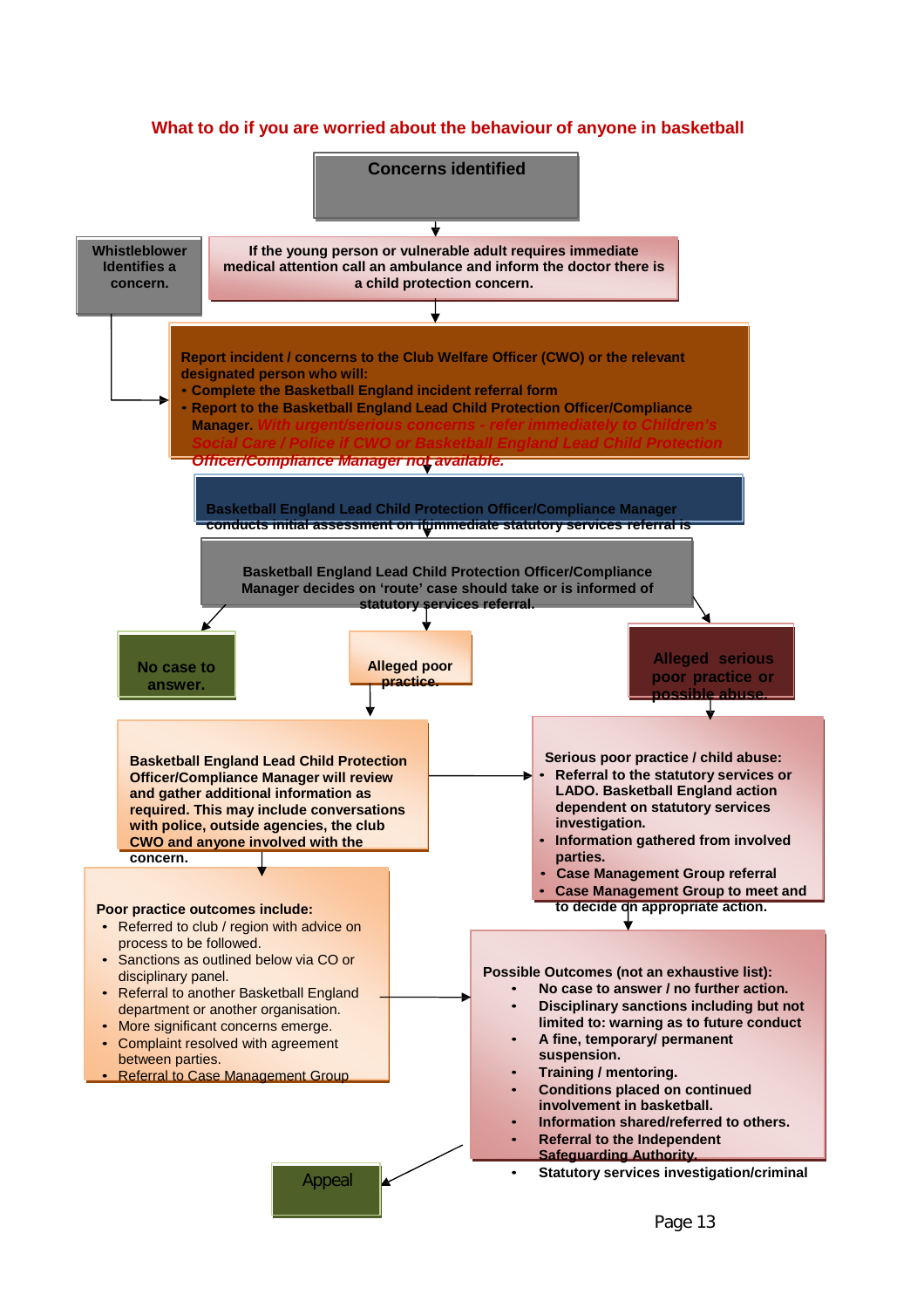# **What to do if you are worried about the behaviour of anyone in basketball**

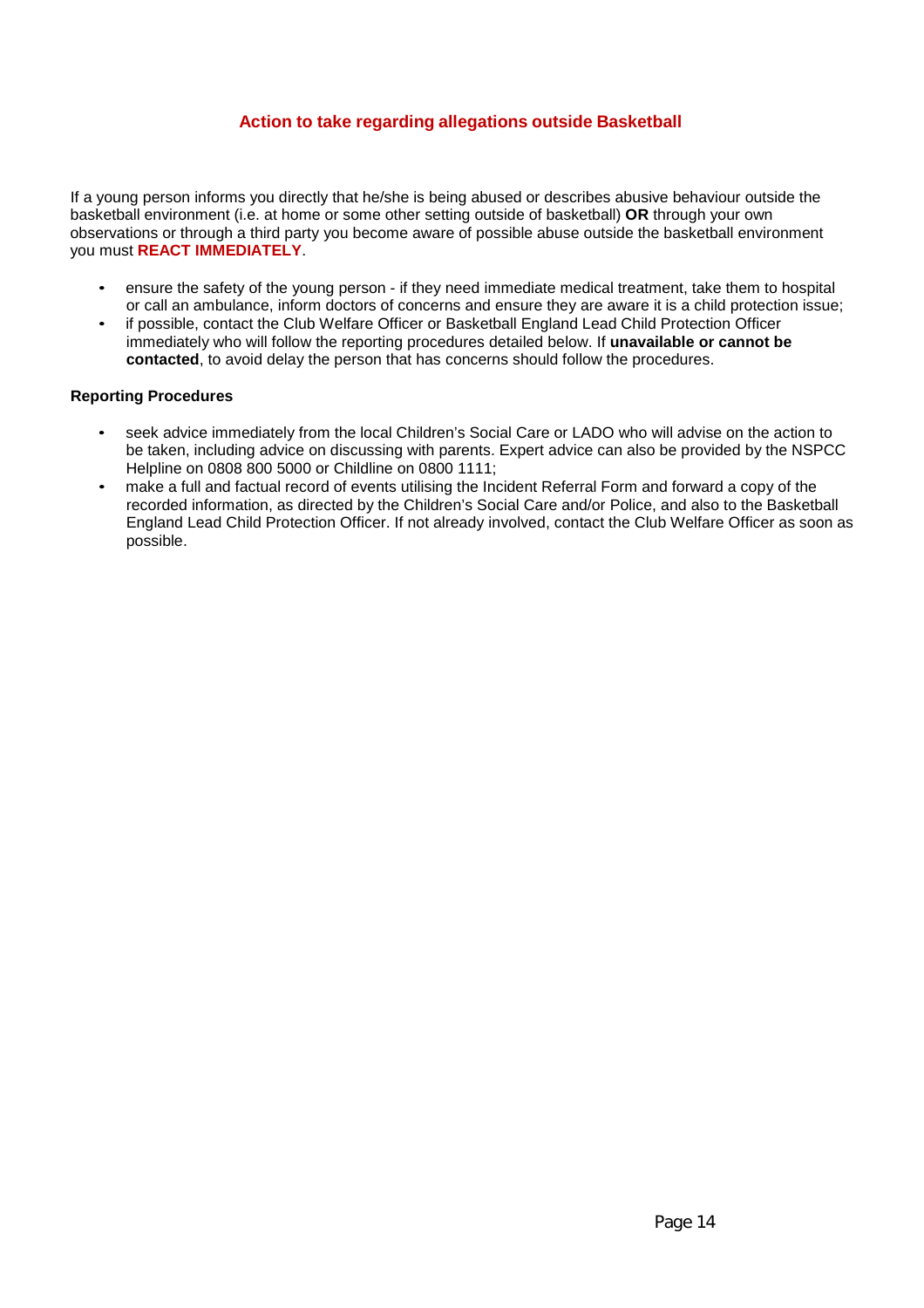# **Action to take regarding allegations outside Basketball**

If a young person informs you directly that he/she is being abused or describes abusive behaviour outside the basketball environment (i.e. at home or some other setting outside of basketball) **OR** through your own observations or through a third party you become aware of possible abuse outside the basketball environment you must **REACT IMMEDIATELY**.

- ensure the safety of the young person if they need immediate medical treatment, take them to hospital or call an ambulance, inform doctors of concerns and ensure they are aware it is a child protection issue;
- if possible, contact the Club Welfare Officer or Basketball England Lead Child Protection Officer immediately who will follow the reporting procedures detailed below. If **unavailable or cannot be contacted**, to avoid delay the person that has concerns should follow the procedures.

#### **Reporting Procedures**

- seek advice immediately from the local Children's Social Care or LADO who will advise on the action to be taken, including advice on discussing with parents. Expert advice can also be provided by the NSPCC Helpline on 0808 800 5000 or Childline on 0800 1111;
- make a full and factual record of events utilising the Incident Referral Form and forward a copy of the recorded information, as directed by the Children's Social Care and/or Police, and also to the Basketball England Lead Child Protection Officer. If not already involved, contact the Club Welfare Officer as soon as possible.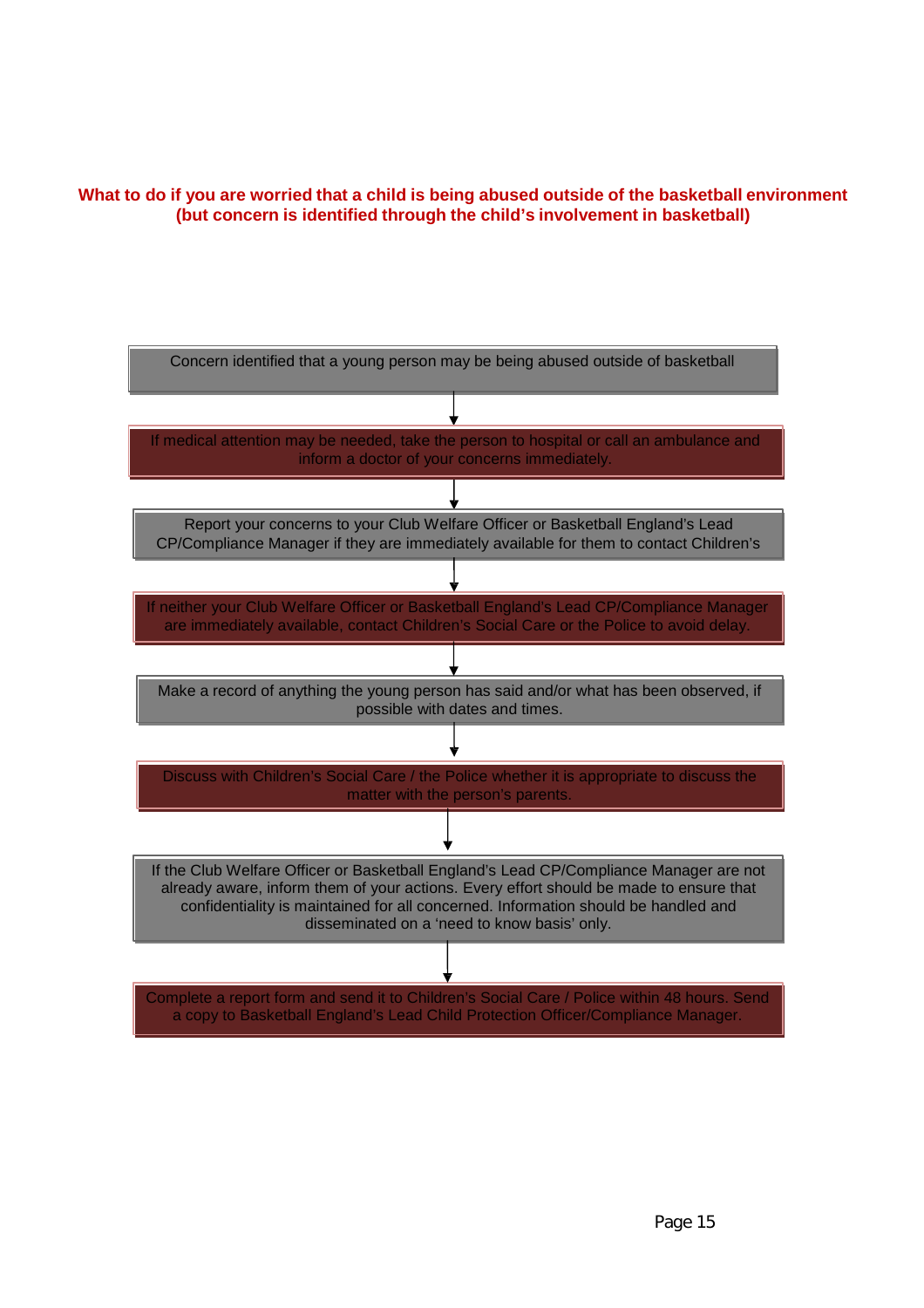# **What to do if you are worried that a child is being abused outside of the basketball environment (but concern is identified through the child's involvement in basketball)**

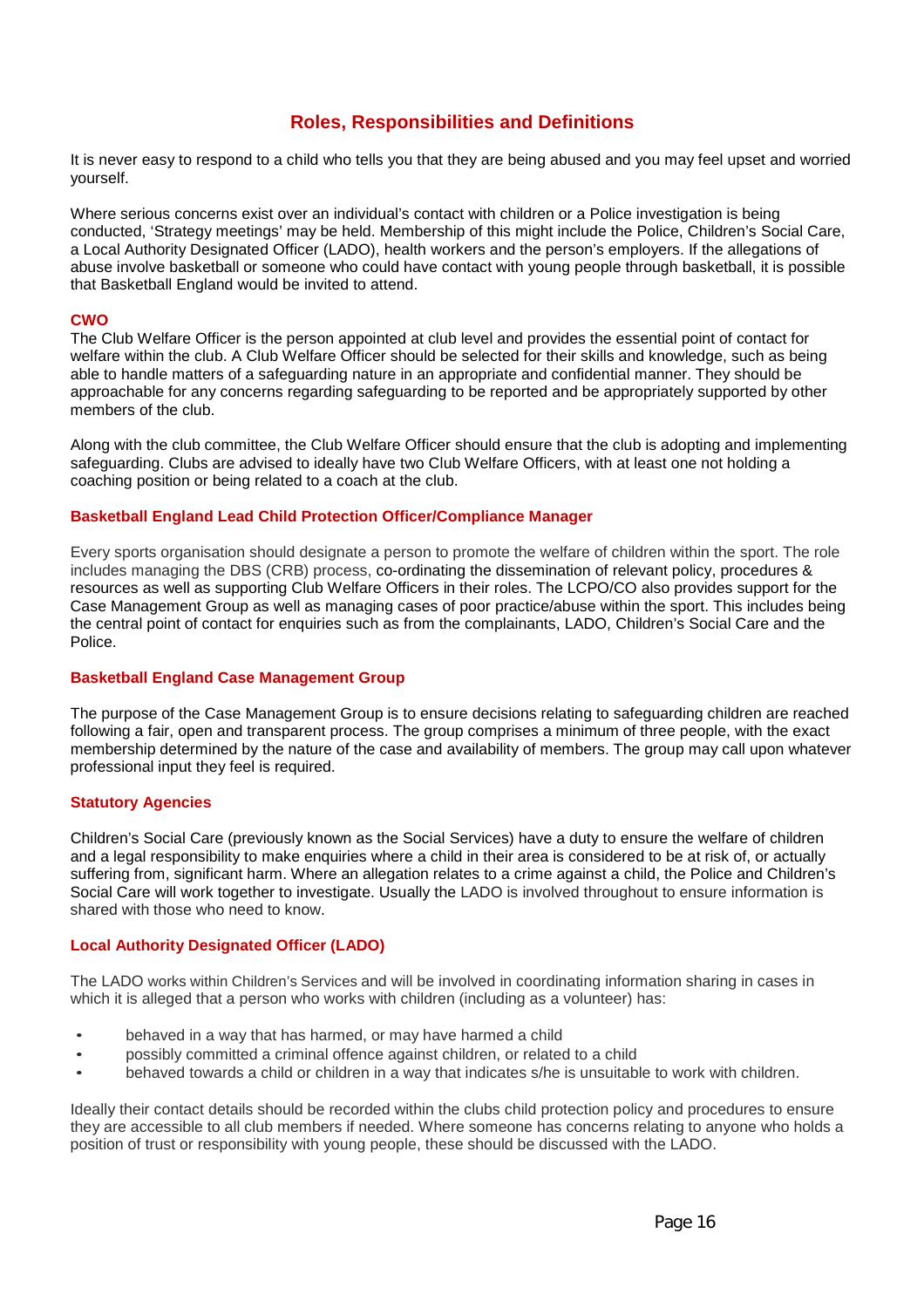# **Roles, Responsibilities and Definitions**

It is never easy to respond to a child who tells you that they are being abused and you may feel upset and worried yourself.

Where serious concerns exist over an individual's contact with children or a Police investigation is being conducted, 'Strategy meetings' may be held. Membership of this might include the Police, Children's Social Care, a Local Authority Designated Officer (LADO), health workers and the person's employers. If the allegations of abuse involve basketball or someone who could have contact with young people through basketball, it is possible that Basketball England would be invited to attend.

#### **CWO**

The Club Welfare Officer is the person appointed at club level and provides the essential point of contact for welfare within [the club. A Club Welfare Officer](http://www.nspcc.org.uk/Inform/cpsu/helpandadvice/organisations/clubguidelines/what_is_a_club_welfare_officer_wda67767.html) should be selected for their skills and knowledge, such as being able to handle matters of a safeguarding nature in an appropriate and confidential manner. They should be approachable for any concerns regarding safeguarding to be reported and be appropriately supported by other members of the club.

Along with the club committee, the Club Welfare Officer should ensure that the club is adopting and implementing safeguarding. Clubs are advised to ideally have two Club Welfare Officers, with at least one not holding a coaching position or being related to a coach at the club.

#### **Basketball England Lead Child Protection Officer/Compliance Manager**

Every sports organisation should designate a person to promote the welfare of children within the sport. The role includes managing the DBS (CRB) process, co-ordinating the dissemination of relevant policy, procedures & resources as well as supporting Club Welfare Officers in their roles. The LCPO/CO also provides support for the Case Management Group as well as managing cases of poor practice/abuse within the sport. This includes being the central point of contact for enquiries such as from the complainants, LADO, Children's Social Care and the Police.

#### **Basketball England Case Management Group**

The purpose of the Case Management Group is to ensure decisions relating to safeguarding children are reached following a fair, open and transparent process. The group comprises a minimum of three people, with the exact membership determined by the nature of the case and availability of members. The group may call upon whatever professional input they feel is required.

#### **Statutory Agencies**

Children's Social Care (previously known as the Social Services) have a duty to ensure the welfare of children and a legal responsibility to make enquiries where a child in their area is considered to be at risk of, or actually suffering from, significant harm. Where an allegation relates to a crime against a child, the Police and Children's Social Care will work together to investigate. Usually the LADO is involved throughout to ensure information is shared with those who need to know.

#### **Local Authority Designated Officer (LADO)**

The LADO works within Children's Services and will be involved in coordinating information sharing in cases in which it is alleged that a person who works with children (including as a volunteer) has:

- behaved in a way that has harmed, or may have harmed a child
- possibly committed a criminal offence against children, or related to a child
- behaved towards a child or children in a way that indicates s/he is unsuitable to work with children.

Ideally their contact details should be recorded within the clubs child protection policy and procedures to ensure they are accessible to all club members if needed. Where someone has concerns relating to anyone who holds a position of trust or responsibility with young people, these should be discussed with the LADO.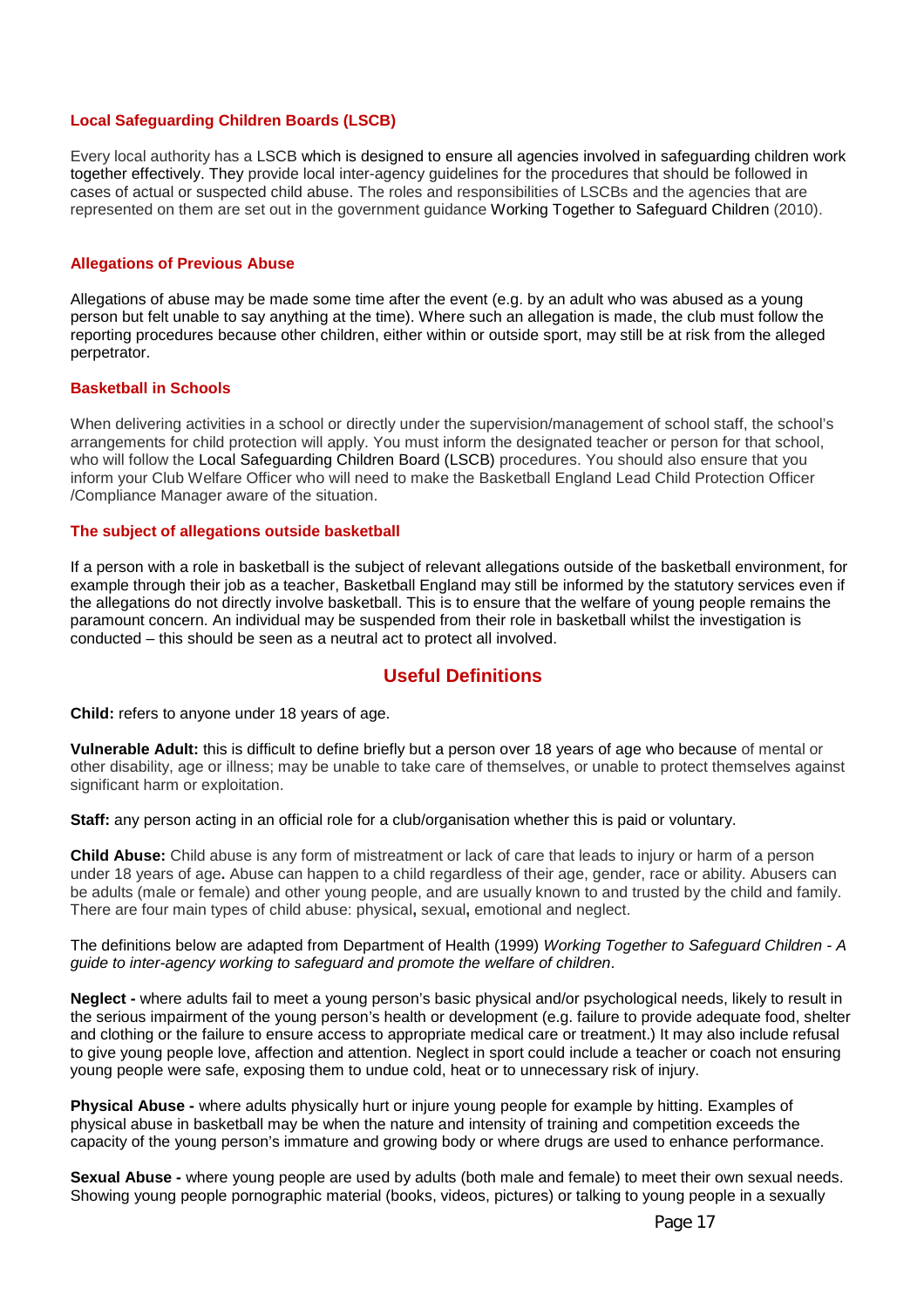#### **Local Safeguarding Children Boards (LSCB)**

Every local authority has a LSCB which is designed to ensure all agencies involved in safeguarding children work together effectively. They provide local inter-agency guidelines for the procedures that should be followed in cases of actual or suspected child abuse. The roles and responsibilities of LSCBs and the agencies that are represented on them are set out in the government guidance Working Together to Safeguard Children (2010).

#### **Allegations of Previous Abuse**

Allegations of abuse may be made some time after the event (e.g. by an adult who was abused as a young person but felt unable to say anything at the time). Where such an allegation is made, the club must follow the reporting procedures because other children, either within or outside sport, may still be at risk from the alleged perpetrator.

#### **Basketball in Schools**

When delivering activities in a school or directly under the supervision/management of school staff, the school's arrangements for child protection will apply. You must inform the designated teacher or person for that school, who will follow the Local Safeguarding Children Board (LSCB) procedures. You should also ensure that you inform your Club Welfare Officer who will need to make the Basketball England Lead Child Protection Officer /Compliance Manager aware of the situation.

#### **The subject of allegations outside basketball**

If a person with a role in basketball is the subject of relevant allegations outside of the basketball environment, for example through their job as a teacher, Basketball England may still be informed by the statutory services even if the allegations do not directly involve basketball. This is to ensure that the welfare of young people remains the paramount concern. An individual may be suspended from their role in basketball whilst the investigation is conducted – this should be seen as a neutral act to protect all involved.

# **Useful Definitions**

**Child:** refers to anyone under 18 years of age.

**Vulnerable Adult:** this is difficult to define briefly but a person over 18 years of age who because of mental or other disability, age or illness; may be unable to take care of themselves, or unable to protect themselves against significant harm or exploitation.

**Staff:** any person acting in an official role for a club/organisation whether this is paid or voluntary.

**Child Abuse:** Child abuse is any form of mistreatment or lack of care that leads to injury or harm of a person under 18 years of age**.** Abuse can happen to a child regardless of their age, gender, race or ability. Abusers can be adults (male or female) and other young people, and are usually known to and trusted by the child and family. There are four main types of child abuse: physical**,** sexual**,** emotional and neglect.

#### The definitions below are adapted from Department of Health (1999) *Working Together to Safeguard Children - A guide to inter-agency working to safeguard and promote the welfare of children*.

**Neglect -** where adults fail to meet a young person's basic physical and/or psychological needs, likely to result in the serious impairment of the young person's health or development (e.g. failure to provide adequate food, shelter and clothing or the failure to ensure access to appropriate medical care or treatment.) It may also include refusal to give young people love, affection and attention. Neglect in sport could include a teacher or coach not ensuring young people were safe, exposing them to undue cold, heat or to unnecessary risk of injury.

**Physical Abuse -** where adults physically hurt or injure young people for example by hitting. Examples of physical abuse in basketball may be when the nature and intensity of training and competition exceeds the capacity of the young person's immature and growing body or where drugs are used to enhance performance.

**Sexual Abuse -** where young people are used by adults (both male and female) to meet their own sexual needs. Showing young people pornographic material (books, videos, pictures) or talking to young people in a sexually